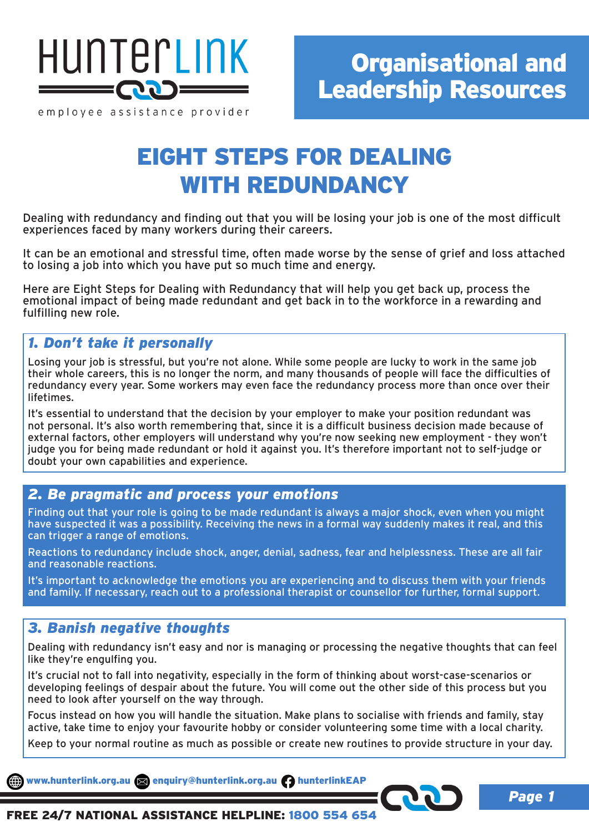

employee assistance provider

# EIGHT STEPS FOR DEALING WITH REDUNDANCY

Dealing with redundancy and finding out that you will be losing your job is one of the most difficult experiences faced by many workers during their careers.

It can be an emotional and stressful time, often made worse by the sense of grief and loss attached to losing a job into which you have put so much time and energy.

Here are Eight Steps for Dealing with Redundancy that will help you get back up, process the emotional impact of being made redundant and get back in to the workforce in a rewarding and fulfilling new role.

## *1. Don't take it personally*

Losing your job is stressful, but you're not alone. While some people are lucky to work in the same job their whole careers, this is no longer the norm, and many thousands of people will face the difficulties of redundancy every year. Some workers may even face the redundancy process more than once over their lifetimes.

It's essential to understand that the decision by your employer to make your position redundant was not personal. It's also worth remembering that, since it is a difficult business decision made because of external factors, other employers will understand why you're now seeking new employment - they won't judge you for being made redundant or hold it against you. It's therefore important not to self-judge or doubt your own capabilities and experience.

#### *2. Be pragmatic and process your emotions*

Finding out that your role is going to be made redundant is always a major shock, even when you might have suspected it was a possibility. Receiving the news in a formal way suddenly makes it real, and this can trigger a range of emotions.

Reactions to redundancy include shock, anger, denial, sadness, fear and helplessness. These are all fair and reasonable reactions.

It's important to acknowledge the emotions you are experiencing and to discuss them with your friends and family. If necessary, reach out to a professional therapist or counsellor for further, formal support.

### *3. Banish negative thoughts*

Dealing with redundancy isn't easy and nor is managing or processing the negative thoughts that can feel like they're engulfing you.

It's crucial not to fall into negativity, especially in the form of thinking about worst-case-scenarios or developing feelings of despair about the future. You will come out the other side of this process but you need to look after yourself on the way through.

Focus instead on how you will handle the situation. Make plans to socialise with friends and family, stay active, take time to enjoy your favourite hobby or consider volunteering some time with a local charity.

Keep to your normal routine as much as possible or create new routines to provide structure in your day.

www.hunterlink.org.au and enquiry@hunterlink.org.au hunterlinkEAP